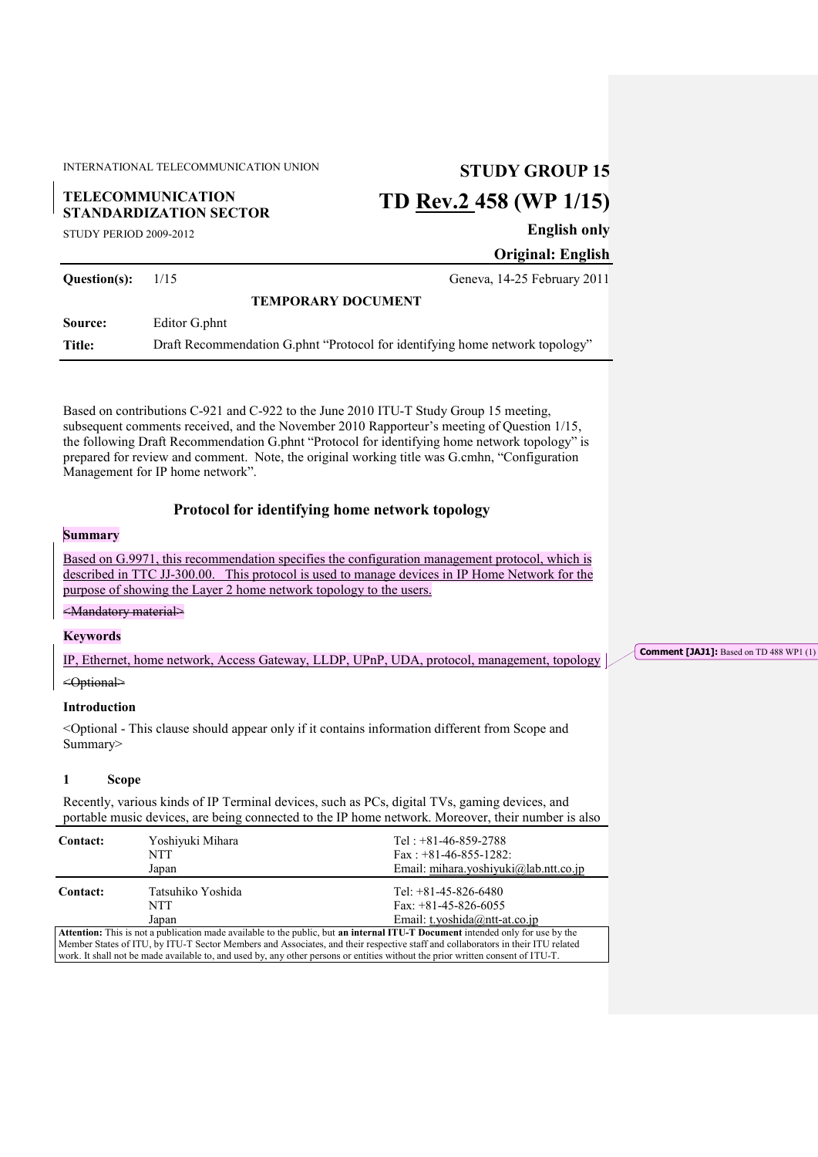INTERNATIONAL TELECOMMUNICATION UNION **STUDY GROUP 15**

## **TELECOMMUNICATION STANDARDIZATION SECTOR**

# **TD Rev.2 458 (WP 1/15)**

STUDY PERIOD 2009-2012

**English only**

**Original: English**

**Question(s):** 1/15 Geneva, 14-25 February 2011 **TEMPORARY DOCUMENT Source:** Editor G.phnt **Title:** Draft Recommendation G.phnt "Protocol for identifying home network topology"

Based on contributions C-921 and C-922 to the June 2010 ITU-T Study Group 15 meeting, subsequent comments received, and the November 2010 Rapporteur's meeting of Question 1/15, the following Draft Recommendation G.phnt "Protocol for identifying home network topology" is prepared for review and comment. Note, the original working title was G.cmhn, "Configuration Management for IP home network".

### **Protocol for identifying home network topology**

### **Summary**

Based on G.9971, this recommendation specifies the configuration management protocol, which is described in TTC JJ-300.00. This protocol is used to manage devices in IP Home Network for the purpose of showing the Layer 2 home network topology to the users.

### <Mandatory material>

### **Keywords**

IP, Ethernet, home network, Access Gateway, LLDP, UPnP, UDA, protocol, management, topology

### <Optional>

### **Introduction**

<Optional - This clause should appear only if it contains information different from Scope and Summary>

### **1 Scope**

Recently, various kinds of IP Terminal devices, such as PCs, digital TVs, gaming devices, and portable music devices, are being connected to the IP home network. Moreover, their number is also

| <b>Contact:</b>                                                                                                                | Yoshiyuki Mihara<br>NTT<br>Japan  | Tel: $+81-46-859-2788$<br>Fax: $+81-46-855-1282$ :<br>Email: mihara.yoshiyuki@lab.ntt.co.jp |  |  |  |
|--------------------------------------------------------------------------------------------------------------------------------|-----------------------------------|---------------------------------------------------------------------------------------------|--|--|--|
| <b>Contact:</b>                                                                                                                | Tatsuhiko Yoshida<br>NTT<br>Japan | Tel: $+81-45-826-6480$<br>Fax: $+81-45-826-6055$<br>Email: t.yoshida@ntt-at.co.jp           |  |  |  |
| Attention: This is not a publication made available to the public, but an internal ITU-T Document intended only for use by the |                                   |                                                                                             |  |  |  |

Member States of ITU, by ITU-T Sector Members and Associates, and their respective staff and collaborators in their ITU related work. It shall not be made available to, and used by, any other persons or entities without the prior written consent of ITU-T.

**Comment [JAJ1]:** Based on TD 488 WP1 (1)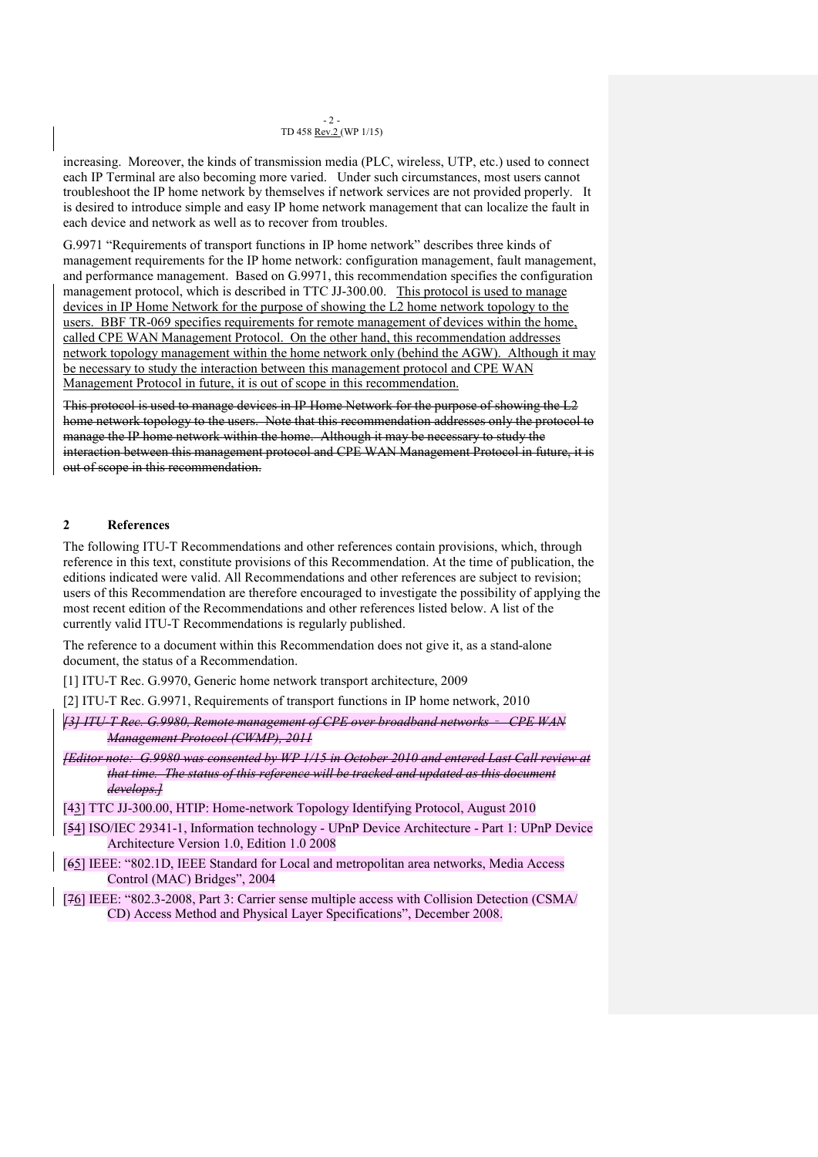#### $-2$  -TD 458 Rev.2 (WP 1/15)

increasing. Moreover, the kinds of transmission media (PLC, wireless, UTP, etc.) used to connect each IP Terminal are also becoming more varied. Under such circumstances, most users cannot troubleshoot the IP home network by themselves if network services are not provided properly. It is desired to introduce simple and easy IP home network management that can localize the fault in each device and network as well as to recover from troubles.

G.9971 "Requirements of transport functions in IP home network" describes three kinds of management requirements for the IP home network: configuration management, fault management, and performance management. Based on G.9971, this recommendation specifies the configuration management protocol, which is described in TTC JJ-300.00. This protocol is used to manage devices in IP Home Network for the purpose of showing the L2 home network topology to the users. BBF TR-069 specifies requirements for remote management of devices within the home, called CPE WAN Management Protocol. On the other hand, this recommendation addresses network topology management within the home network only (behind the AGW). Although it may be necessary to study the interaction between this management protocol and CPE WAN Management Protocol in future, it is out of scope in this recommendation.

This protocol is used to manage devices in IP Home Network for the purpose of showing the L2 home network topology to the users. Note that this recommendation addresses only the protocol to manage the IP home network within the home. Although it may be necessary to study the interaction between this management protocol and CPE WAN Management Protocol in future, it is out of scope in this recommendation.

### **2 References**

The following ITU-T Recommendations and other references contain provisions, which, through reference in this text, constitute provisions of this Recommendation. At the time of publication, the editions indicated were valid. All Recommendations and other references are subject to revision; users of this Recommendation are therefore encouraged to investigate the possibility of applying the most recent edition of the Recommendations and other references listed below. A list of the currently valid ITU-T Recommendations is regularly published.

The reference to a document within this Recommendation does not give it, as a stand-alone document, the status of a Recommendation.

[1] ITU-T Rec. G.9970, Generic home network transport architecture, 2009

[2] ITU-T Rec. G.9971, Requirements of transport functions in IP home network, 2010

- *[3] ITU-T Rec. G.9980, Remote management of CPE over broadband networks CPE WAN Management Protocol (CWMP), 2011*
- *[Editor note: G.9980 was consented by WP 1/15 in October 2010 and entered Last Call review at that time. The status of this reference will be tracked and updated as this document develops.]*
- [43] TTC JJ-300.00, HTIP: Home-network Topology Identifying Protocol, August 2010
- [54] ISO/IEC 29341-1, Information technology UPnP Device Architecture Part 1: UPnP Device Architecture Version 1.0, Edition 1.0 2008
- [65] IEEE: "802.1D, IEEE Standard for Local and metropolitan area networks, Media Access Control (MAC) Bridges", 2004
- [76] IEEE: "802.3-2008, Part 3: Carrier sense multiple access with Collision Detection (CSMA/ CD) Access Method and Physical Layer Specifications", December 2008.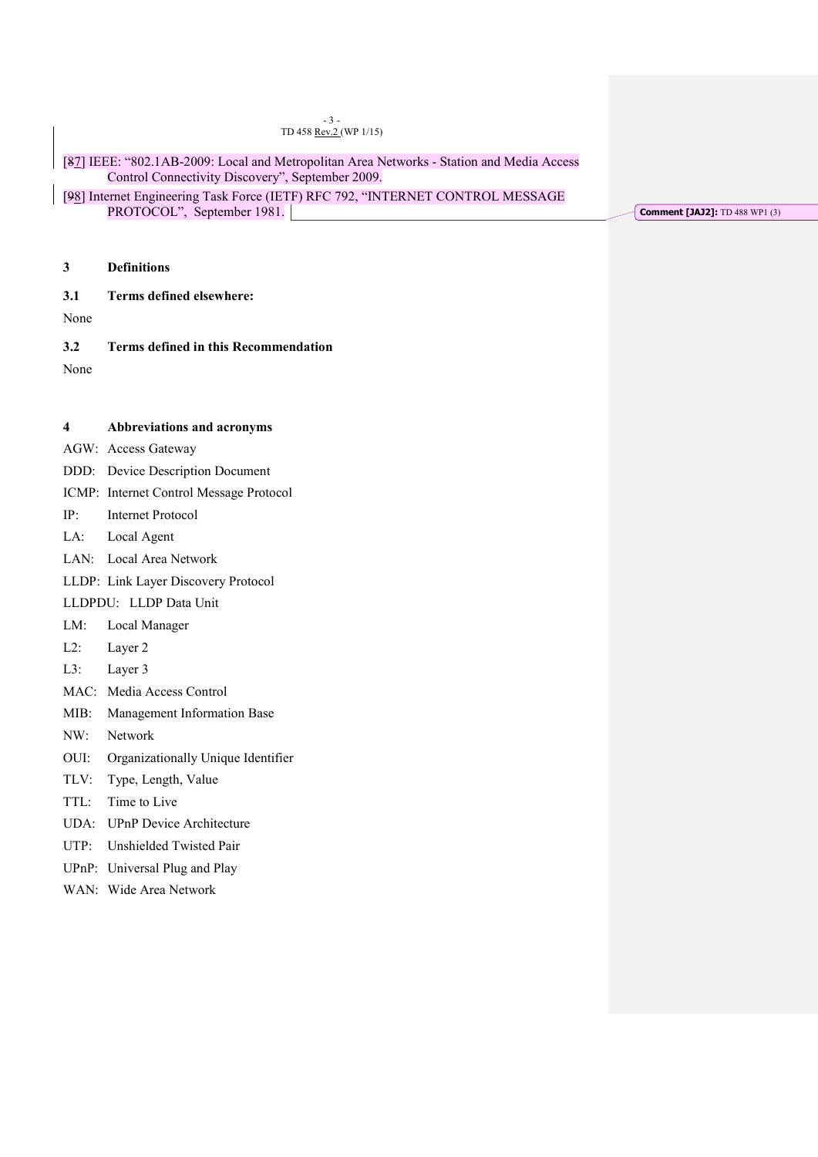|             | $-3-$<br>TD 458 Rev.2 (WP 1/15)<br>[87] IEEE: "802.1AB-2009: Local and Metropolitan Area Networks - Station and Media Access<br>Control Connectivity Discovery", September 2009.<br>[98] Internet Engineering Task Force (IETF) RFC 792, "INTERNET CONTROL MESSAGE<br>PROTOCOL", September 1981. |                                       |
|-------------|--------------------------------------------------------------------------------------------------------------------------------------------------------------------------------------------------------------------------------------------------------------------------------------------------|---------------------------------------|
|             |                                                                                                                                                                                                                                                                                                  | <b>Comment [JAJ2]:</b> TD 488 WP1 (3) |
| 3           | <b>Definitions</b>                                                                                                                                                                                                                                                                               |                                       |
| 3.1<br>None | Terms defined elsewhere:                                                                                                                                                                                                                                                                         |                                       |
| 3.2<br>None | <b>Terms defined in this Recommendation</b>                                                                                                                                                                                                                                                      |                                       |
| 4           | Abbreviations and acronyms                                                                                                                                                                                                                                                                       |                                       |
|             | AGW: Access Gateway                                                                                                                                                                                                                                                                              |                                       |
|             | DDD: Device Description Document                                                                                                                                                                                                                                                                 |                                       |
|             | ICMP: Internet Control Message Protocol                                                                                                                                                                                                                                                          |                                       |
| IP:         | <b>Internet Protocol</b>                                                                                                                                                                                                                                                                         |                                       |
| LA:         | Local Agent                                                                                                                                                                                                                                                                                      |                                       |
|             | LAN: Local Area Network                                                                                                                                                                                                                                                                          |                                       |
|             | LLDP: Link Layer Discovery Protocol                                                                                                                                                                                                                                                              |                                       |
|             | LLDPDU: LLDP Data Unit                                                                                                                                                                                                                                                                           |                                       |
| LM:         | Local Manager                                                                                                                                                                                                                                                                                    |                                       |
| $L2$ :      | Layer 2                                                                                                                                                                                                                                                                                          |                                       |
| $L3$ :      | Layer 3                                                                                                                                                                                                                                                                                          |                                       |
|             | MAC: Media Access Control                                                                                                                                                                                                                                                                        |                                       |
|             | MIB: Management Information Base                                                                                                                                                                                                                                                                 |                                       |
| NW:         | Network                                                                                                                                                                                                                                                                                          |                                       |
| OUI:        | Organizationally Unique Identifier                                                                                                                                                                                                                                                               |                                       |
| TLV:        | Type, Length, Value                                                                                                                                                                                                                                                                              |                                       |
| TTL:        | Time to Live                                                                                                                                                                                                                                                                                     |                                       |
|             | UDA: UPnP Device Architecture                                                                                                                                                                                                                                                                    |                                       |
| UTP:        | Unshielded Twisted Pair                                                                                                                                                                                                                                                                          |                                       |

- UPnP: Universal Plug and Play
- WAN: Wide Area Network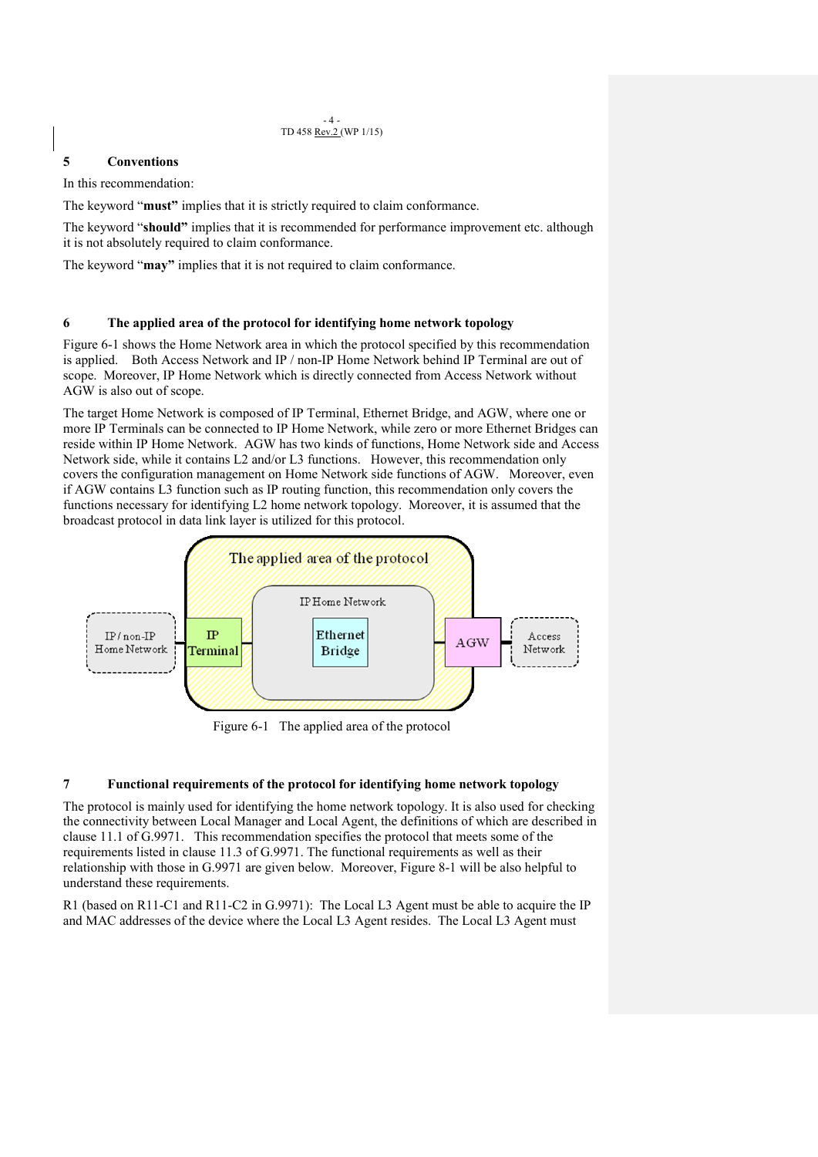#### $-4-$ TD 458 Rev.2 (WP 1/15)

### **5 Conventions**

In this recommendation:

The keyword "**must"** implies that it is strictly required to claim conformance.

The keyword "**should"** implies that it is recommended for performance improvement etc. although it is not absolutely required to claim conformance.

The keyword "**may"** implies that it is not required to claim conformance.

### **6 The applied area of the protocol for identifying home network topology**

Figure 6-1 shows the Home Network area in which the protocol specified by this recommendation is applied. Both Access Network and IP / non-IP Home Network behind IP Terminal are out of scope. Moreover, IP Home Network which is directly connected from Access Network without AGW is also out of scope.

The target Home Network is composed of IP Terminal, Ethernet Bridge, and AGW, where one or more IP Terminals can be connected to IP Home Network, while zero or more Ethernet Bridges can reside within IP Home Network. AGW has two kinds of functions, Home Network side and Access Network side, while it contains L2 and/or L3 functions. However, this recommendation only covers the configuration management on Home Network side functions of AGW. Moreover, even if AGW contains L3 function such as IP routing function, this recommendation only covers the functions necessary for identifying L2 home network topology. Moreover, it is assumed that the broadcast protocol in data link layer is utilized for this protocol.



Figure 6-1 The applied area of the protocol

### **7 Functional requirements of the protocol for identifying home network topology**

The protocol is mainly used for identifying the home network topology. It is also used for checking the connectivity between Local Manager and Local Agent, the definitions of which are described in clause 11.1 of G.9971. This recommendation specifies the protocol that meets some of the requirements listed in clause 11.3 of G.9971. The functional requirements as well as their relationship with those in G.9971 are given below. Moreover, Figure 8-1 will be also helpful to understand these requirements.

R1 (based on R11-C1 and R11-C2 in G.9971): The Local L3 Agent must be able to acquire the IP and MAC addresses of the device where the Local L3 Agent resides. The Local L3 Agent must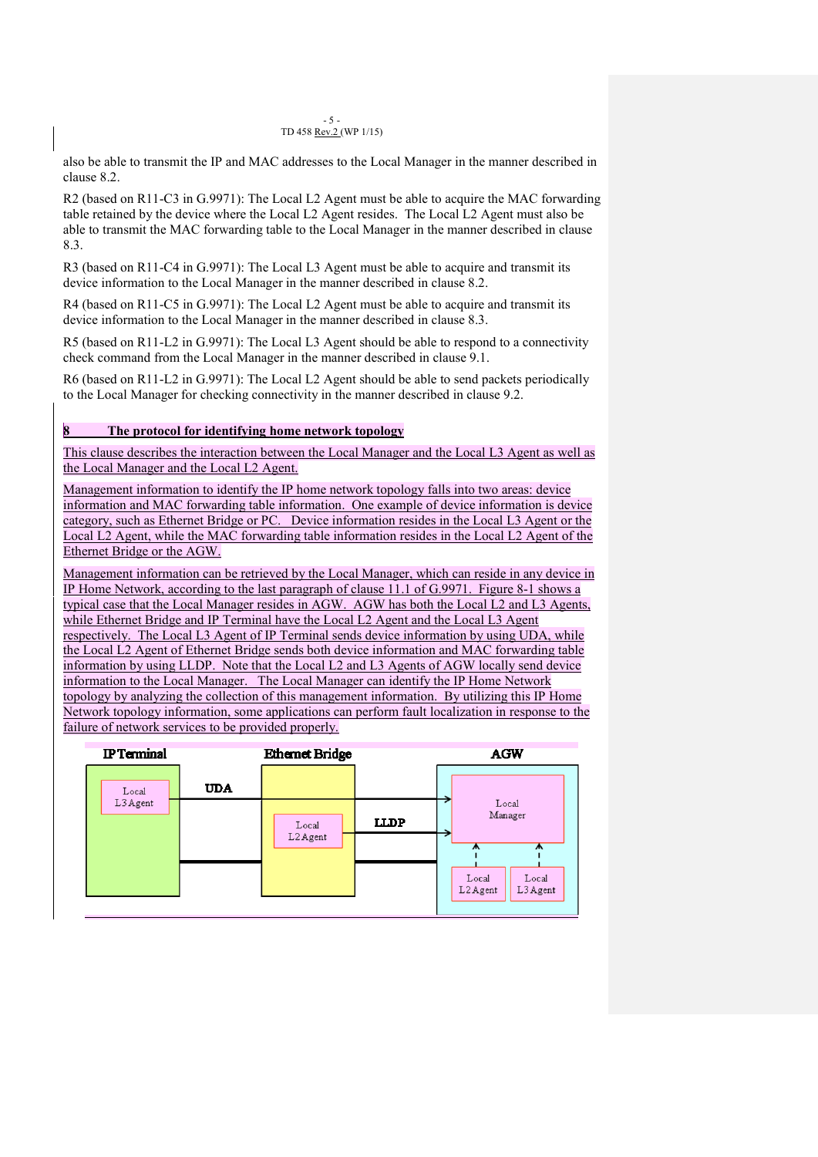#### $-5 -$ TD 458 Rev.2 (WP 1/15)

also be able to transmit the IP and MAC addresses to the Local Manager in the manner described in clause 8.2.

R2 (based on R11-C3 in G.9971): The Local L2 Agent must be able to acquire the MAC forwarding table retained by the device where the Local L2 Agent resides. The Local L2 Agent must also be able to transmit the MAC forwarding table to the Local Manager in the manner described in clause 8.3.

R3 (based on R11-C4 in G.9971): The Local L3 Agent must be able to acquire and transmit its device information to the Local Manager in the manner described in clause 8.2.

R4 (based on R11-C5 in G.9971): The Local L2 Agent must be able to acquire and transmit its device information to the Local Manager in the manner described in clause 8.3.

R5 (based on R11-L2 in G.9971): The Local L3 Agent should be able to respond to a connectivity check command from the Local Manager in the manner described in clause 9.1.

R6 (based on R11-L2 in G.9971): The Local L2 Agent should be able to send packets periodically to the Local Manager for checking connectivity in the manner described in clause 9.2.

### **8 The protocol for identifying home network topology**

This clause describes the interaction between the Local Manager and the Local L3 Agent as well as the Local Manager and the Local L2 Agent.

Management information to identify the IP home network topology falls into two areas: device information and MAC forwarding table information. One example of device information is device category, such as Ethernet Bridge or PC. Device information resides in the Local L3 Agent or the Local L2 Agent, while the MAC forwarding table information resides in the Local L2 Agent of the Ethernet Bridge or the AGW.

Management information can be retrieved by the Local Manager, which can reside in any device in IP Home Network, according to the last paragraph of clause 11.1 of G.9971. Figure 8-1 shows a typical case that the Local Manager resides in AGW. AGW has both the Local L2 and L3 Agents, while Ethernet Bridge and IP Terminal have the Local L2 Agent and the Local L3 Agent respectively. The Local L3 Agent of IP Terminal sends device information by using UDA, while the Local L2 Agent of Ethernet Bridge sends both device information and MAC forwarding table information by using LLDP. Note that the Local L2 and L3 Agents of AGW locally send device information to the Local Manager. The Local Manager can identify the IP Home Network topology by analyzing the collection of this management information. By utilizing this IP Home Network topology information, some applications can perform fault localization in response to the failure of network services to be provided properly.

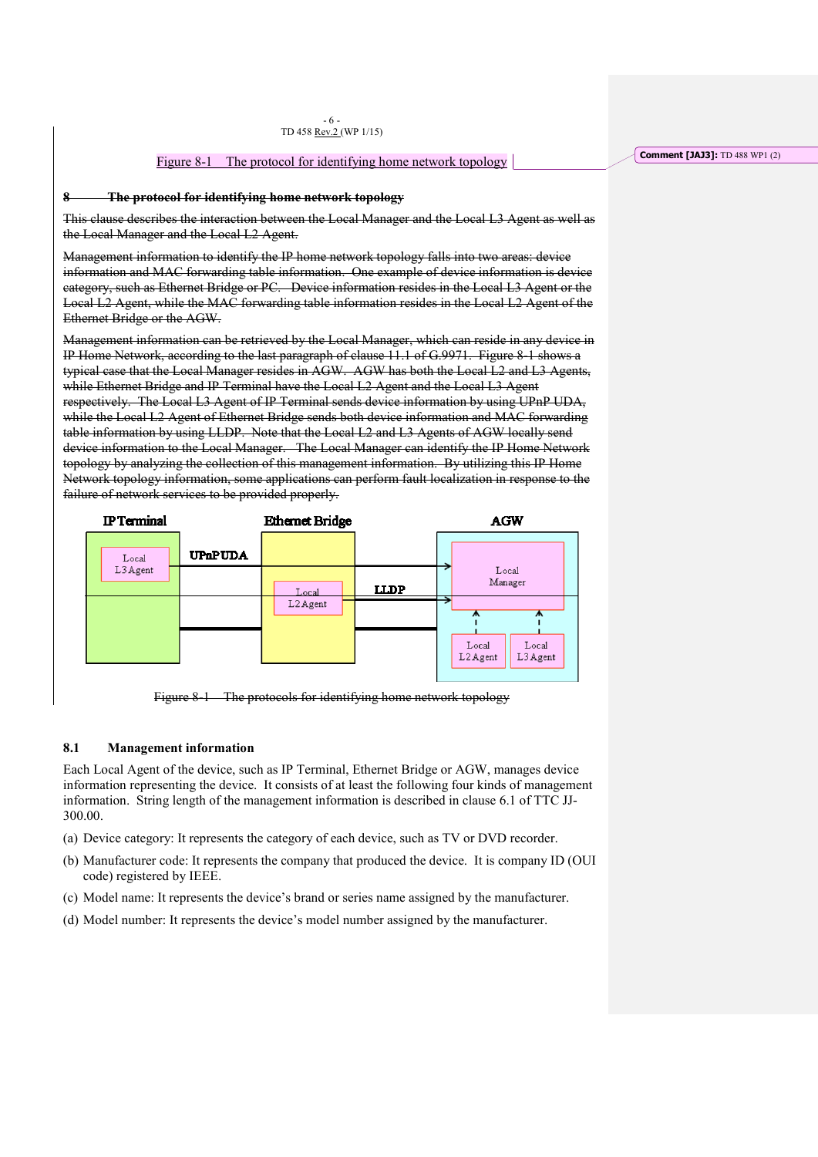### Figure 8-1 The protocol for identifying home network topology

### **8 The protocol for identifying home network topology**

This clause describes the interaction between the Local Manager and the Local L3 Agent as well as the Local Manager and the Local L2 Agent.

Management information to identify the IP home network topology falls into two areas: device information and MAC forwarding table information. One example of device information is device category, such as Ethernet Bridge or PC. Device information resides in the Local L3 Agent or the Local L2 Agent, while the MAC forwarding table information resides in the Local L2 Agent of the Ethernet Bridge or the AGW.

Management information can be retrieved by the Local Manager, which can reside in any device in IP Home Network, according to the last paragraph of clause 11.1 of G.9971. Figure 8-1 shows a typical case that the Local Manager resides in AGW. AGW has both the Local L2 and L3 Agents, while Ethernet Bridge and IP Terminal have the Local L2 Agent and the Local L3 Agent respectively. The Local L3 Agent of IP Terminal sends device information by using UPnP UDA, while the Local L2 Agent of Ethernet Bridge sends both device information and MAC forwarding table information by using LLDP. Note that the Local L2 and L3 Agents of AGW locally send device information to the Local Manager. The Local Manager can identify the IP Home Network topology by analyzing the collection of this management information. By utilizing this IP Home Network topology information, some applications can perform fault localization in response to the failure of network services to be provided properly.



Figure 8-1 The protocols for identifying home network topology

### **8.1 Management information**

Each Local Agent of the device, such as IP Terminal, Ethernet Bridge or AGW, manages device information representing the device. It consists of at least the following four kinds of management information. String length of the management information is described in clause 6.1 of TTC JJ-300.00.

- (a) Device category: It represents the category of each device, such as TV or DVD recorder.
- (b) Manufacturer code: It represents the company that produced the device. It is company ID (OUI code) registered by IEEE.
- (c) Model name: It represents the device's brand or series name assigned by the manufacturer.
- (d) Model number: It represents the device's model number assigned by the manufacturer.

**Comment [JAJ3]:** TD 488 WP1 (2)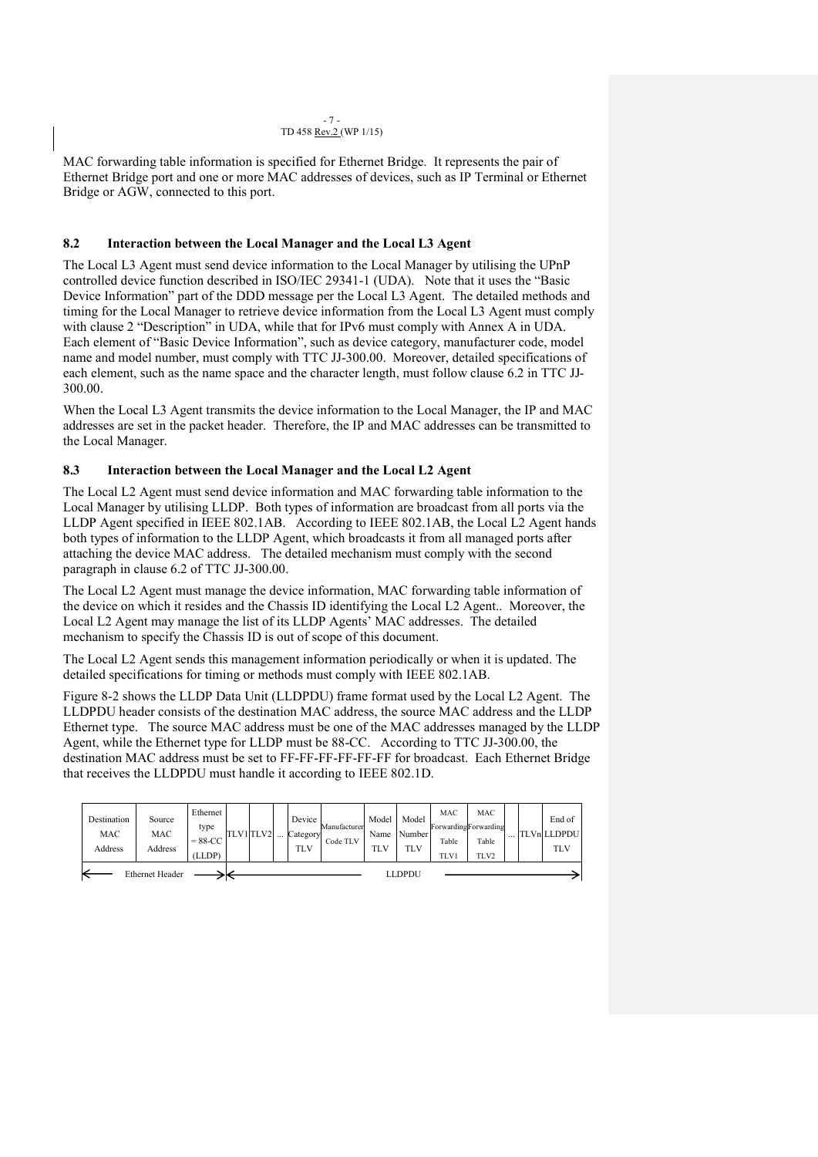#### $-7 -$ TD 458 Rev.2 (WP 1/15)

MAC forwarding table information is specified for Ethernet Bridge. It represents the pair of Ethernet Bridge port and one or more MAC addresses of devices, such as IP Terminal or Ethernet Bridge or AGW, connected to this port.

### **8.2 Interaction between the Local Manager and the Local L3 Agent**

The Local L3 Agent must send device information to the Local Manager by utilising the UPnP controlled device function described in ISO/IEC 29341-1 (UDA). Note that it uses the "Basic Device Information" part of the DDD message per the Local L3 Agent. The detailed methods and timing for the Local Manager to retrieve device information from the Local L3 Agent must comply with clause 2 "Description" in UDA, while that for IPv6 must comply with Annex A in UDA. Each element of "Basic Device Information", such as device category, manufacturer code, model name and model number, must comply with TTC JJ-300.00. Moreover, detailed specifications of each element, such as the name space and the character length, must follow clause 6.2 in TTC JJ-300.00.

When the Local L3 Agent transmits the device information to the Local Manager, the IP and MAC addresses are set in the packet header. Therefore, the IP and MAC addresses can be transmitted to the Local Manager.

### **8.3 Interaction between the Local Manager and the Local L2 Agent**

The Local L2 Agent must send device information and MAC forwarding table information to the Local Manager by utilising LLDP. Both types of information are broadcast from all ports via the LLDP Agent specified in IEEE 802.1AB. According to IEEE 802.1AB, the Local L2 Agent hands both types of information to the LLDP Agent, which broadcasts it from all managed ports after attaching the device MAC address. The detailed mechanism must comply with the second paragraph in clause 6.2 of TTC JJ-300.00.

The Local L2 Agent must manage the device information, MAC forwarding table information of the device on which it resides and the Chassis ID identifying the Local L2 Agent.. Moreover, the Local L2 Agent may manage the list of its LLDP Agents' MAC addresses. The detailed mechanism to specify the Chassis ID is out of scope of this document.

The Local L2 Agent sends this management information periodically or when it is updated. The detailed specifications for timing or methods must comply with IEEE 802.1AB.

Figure 8-2 shows the LLDP Data Unit (LLDPDU) frame format used by the Local L2 Agent. The LLDPDU header consists of the destination MAC address, the source MAC address and the LLDP Ethernet type. The source MAC address must be one of the MAC addresses managed by the LLDP Agent, while the Ethernet type for LLDP must be 88-CC. According to TTC JJ-300.00, the destination MAC address must be set to FF-FF-FF-FF-FF-FF for broadcast. Each Ethernet Bridge that receives the LLDPDU must handle it according to IEEE 802.1D.

| Destination<br>MAC<br>Address | Source<br>MAC<br>Address         | Ethernet<br>type<br>$= 88 - CC$<br>(LLDP) | TLV1 TLV2 |  |  | Device<br>Category<br>TLV | Manufacturer<br>Code TLV | Model<br>Name<br>TLV | <b>Model</b><br>Number<br><b>TLV</b> | MAC<br>Table<br><b>TLV1</b> | MAC<br>ForwardingForwarding<br>Table<br>TLV2 |  |  | End of<br><b>TLVn LLDPDU</b><br><b>TLV</b> |
|-------------------------------|----------------------------------|-------------------------------------------|-----------|--|--|---------------------------|--------------------------|----------------------|--------------------------------------|-----------------------------|----------------------------------------------|--|--|--------------------------------------------|
|                               | LLDPDU<br><b>Ethernet Header</b> |                                           |           |  |  |                           |                          |                      |                                      |                             |                                              |  |  |                                            |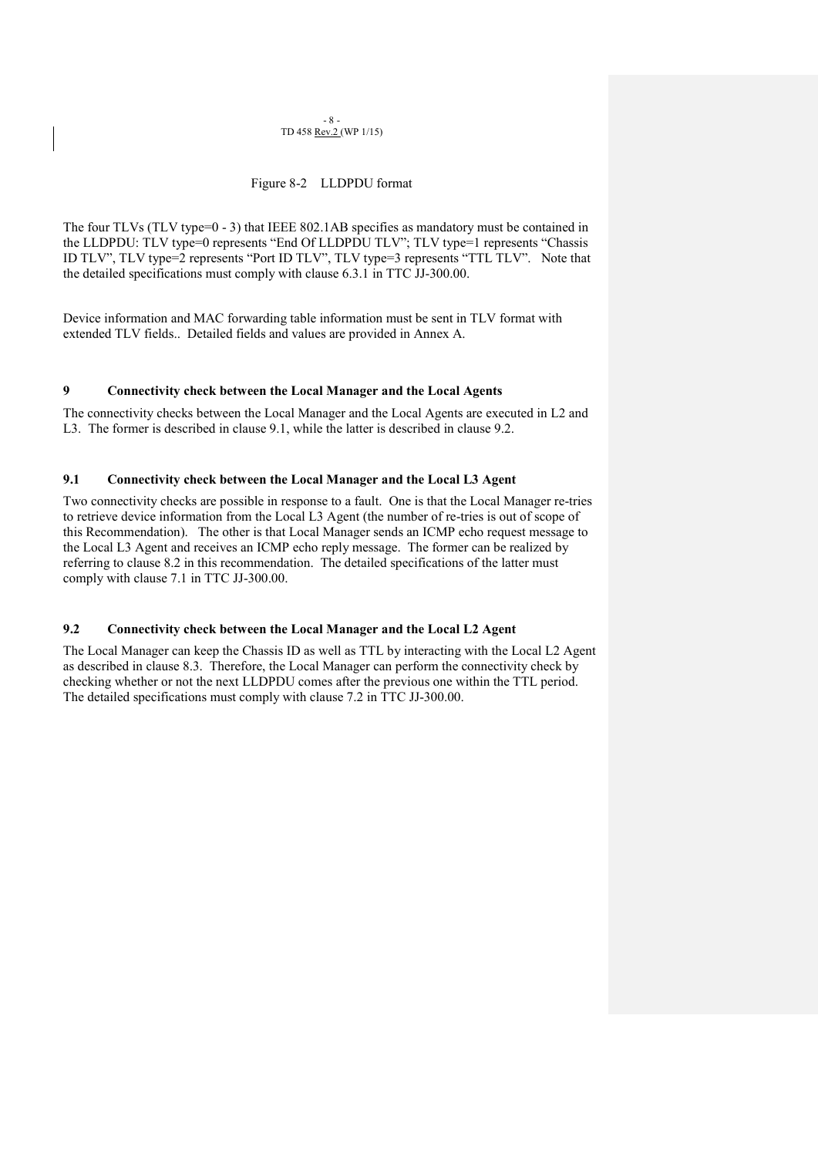#### $- 8 -$ TD 458 Rev.2 (WP 1/15)

### Figure 8-2 LLDPDU format

The four TLVs (TLV type=0 - 3) that IEEE 802.1AB specifies as mandatory must be contained in the LLDPDU: TLV type=0 represents "End Of LLDPDU TLV"; TLV type=1 represents "Chassis ID TLV", TLV type=2 represents "Port ID TLV", TLV type=3 represents "TTL TLV". Note that the detailed specifications must comply with clause 6.3.1 in TTC JJ-300.00.

Device information and MAC forwarding table information must be sent in TLV format with extended TLV fields.. Detailed fields and values are provided in Annex A.

### **9 Connectivity check between the Local Manager and the Local Agents**

The connectivity checks between the Local Manager and the Local Agents are executed in L2 and L3. The former is described in clause 9.1, while the latter is described in clause 9.2.

### **9.1 Connectivity check between the Local Manager and the Local L3 Agent**

Two connectivity checks are possible in response to a fault. One is that the Local Manager re-tries to retrieve device information from the Local L3 Agent (the number of re-tries is out of scope of this Recommendation). The other is that Local Manager sends an ICMP echo request message to the Local L3 Agent and receives an ICMP echo reply message. The former can be realized by referring to clause 8.2 in this recommendation. The detailed specifications of the latter must comply with clause 7.1 in TTC JJ-300.00.

### **9.2 Connectivity check between the Local Manager and the Local L2 Agent**

The Local Manager can keep the Chassis ID as well as TTL by interacting with the Local L2 Agent as described in clause 8.3. Therefore, the Local Manager can perform the connectivity check by checking whether or not the next LLDPDU comes after the previous one within the TTL period. The detailed specifications must comply with clause 7.2 in TTC JJ-300.00.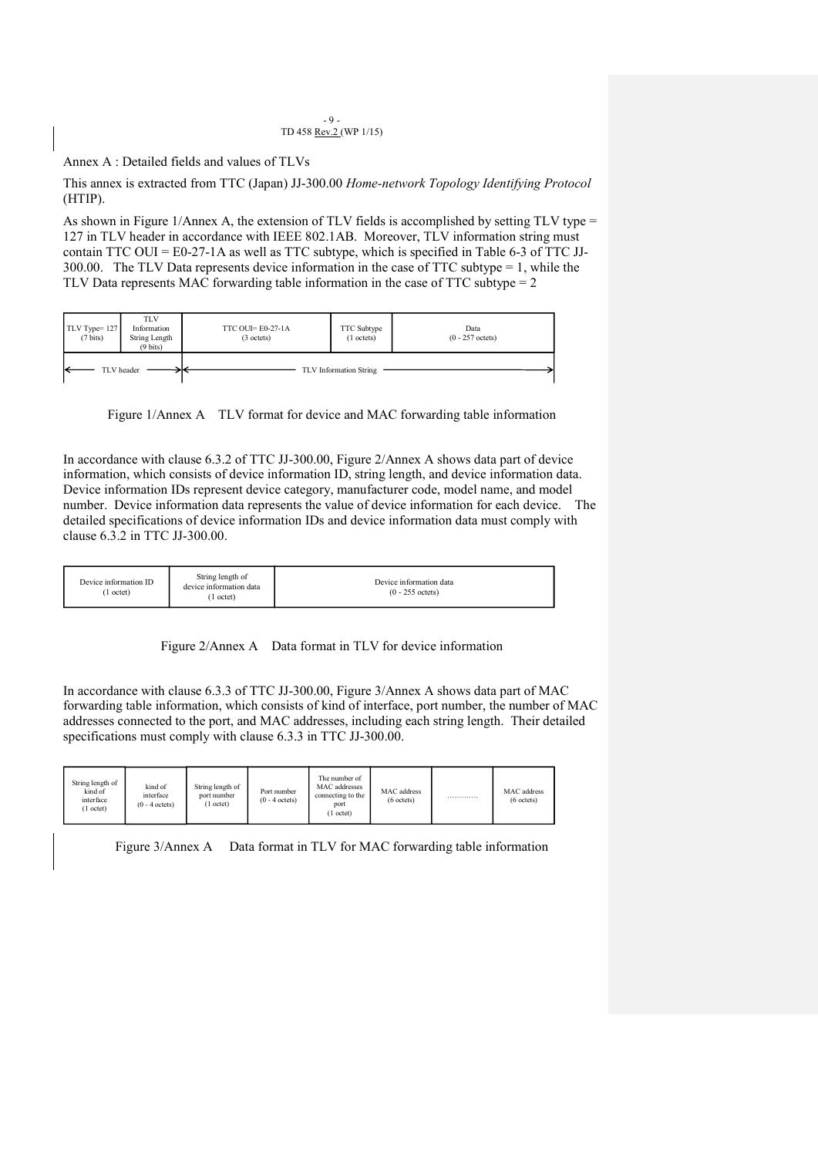#### $-9 -$ TD 458 Rev.2 (WP 1/15)

Annex A : Detailed fields and values of TLVs

This annex is extracted from TTC (Japan) JJ-300.00 *Home-network Topology Identifying Protocol* (HTIP).

As shown in Figure 1/Annex A, the extension of TLV fields is accomplished by setting TLV type = 127 in TLV header in accordance with IEEE 802.1AB. Moreover, TLV information string must contain TTC OUI = E0-27-1A as well as TTC subtype, which is specified in Table 6-3 of TTC JJ-300.00. The TLV Data represents device information in the case of TTC subtype = 1, while the TLV Data represents MAC forwarding table information in the case of TTC subtype = 2

| TLV Type=127<br>$(7 \text{ bits})$ | <b>TLV</b><br>Information<br>String Length<br>$(9 \text{ bits})$ | TTC OUI= $E0-27-1A$<br>$(3 \text{ octets})$ | TTC Subtype<br>$(1$ octets) | Data<br>$(0 - 257$ octets) |
|------------------------------------|------------------------------------------------------------------|---------------------------------------------|-----------------------------|----------------------------|
|                                    | TLV header                                                       |                                             | TLV Information String      |                            |

Figure 1/Annex A TLV format for device and MAC forwarding table information

In accordance with clause 6.3.2 of TTC JJ-300.00, Figure 2/Annex A shows data part of device information, which consists of device information ID, string length, and device information data. Device information IDs represent device category, manufacturer code, model name, and model number. Device information data represents the value of device information for each device. The detailed specifications of device information IDs and device information data must comply with clause 6.3.2 in TTC JJ-300.00.

| Device information ID<br>. octet) | String length of<br>device information data<br>octet) | Device information data<br>$(0 - 255 \text{ octets})$ |
|-----------------------------------|-------------------------------------------------------|-------------------------------------------------------|
|-----------------------------------|-------------------------------------------------------|-------------------------------------------------------|

Figure 2/Annex A Data format in TLV for device information

In accordance with clause 6.3.3 of TTC JJ-300.00, Figure 3/Annex A shows data part of MAC forwarding table information, which consists of kind of interface, port number, the number of MAC addresses connected to the port, and MAC addresses, including each string length. Their detailed specifications must comply with clause 6.3.3 in TTC JJ-300.00.

| String length of<br>kind of<br>interface<br>(1 octet) | kind of<br>interface<br>$(0 - 4 \text{ octets})$ | String length of<br>port number<br>l octet) | Port number<br>$(0 - 4 \text{ octets})$ | The number of<br>MAC addresses<br>connecting to the<br>port<br>1 octet) | MAC address<br>$(6 \text{ octets})$ | . | MAC address<br>$(6 \text{ octets})$ |
|-------------------------------------------------------|--------------------------------------------------|---------------------------------------------|-----------------------------------------|-------------------------------------------------------------------------|-------------------------------------|---|-------------------------------------|
|-------------------------------------------------------|--------------------------------------------------|---------------------------------------------|-----------------------------------------|-------------------------------------------------------------------------|-------------------------------------|---|-------------------------------------|

Figure 3/Annex A Data format in TLV for MAC forwarding table information